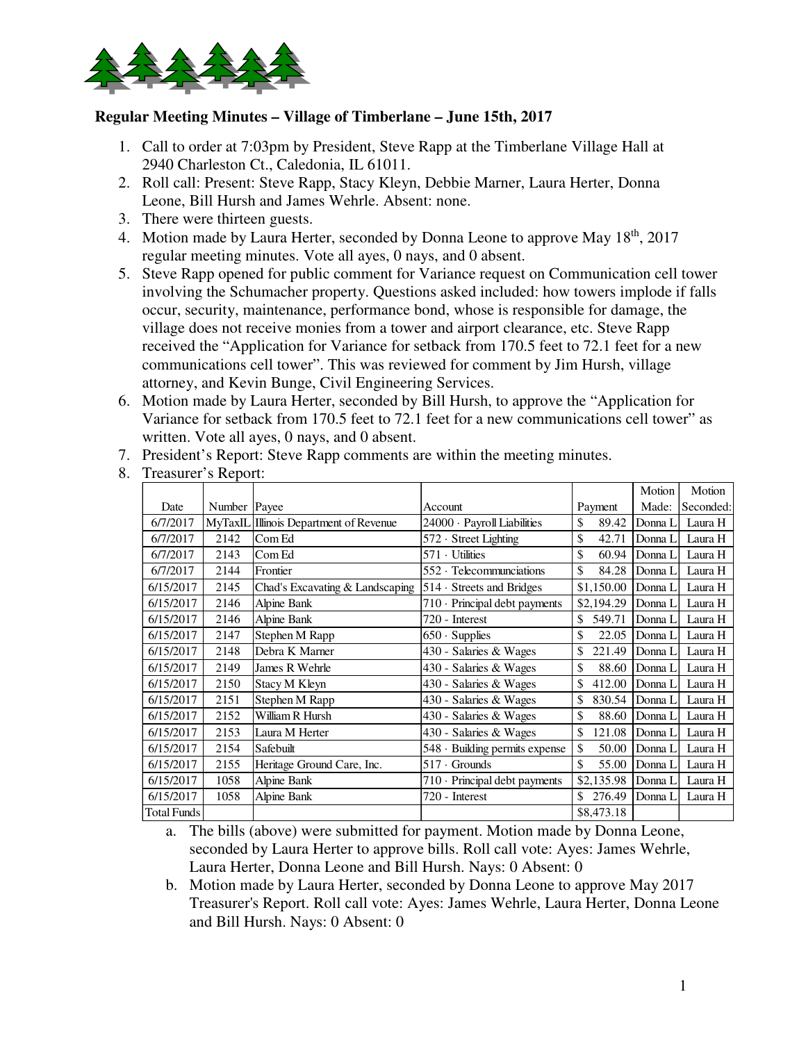

## **Regular Meeting Minutes – Village of Timberlane – June 15th, 2017**

- 1. Call to order at 7:03pm by President, Steve Rapp at the Timberlane Village Hall at 2940 Charleston Ct., Caledonia, IL 61011.
- 2. Roll call: Present: Steve Rapp, Stacy Kleyn, Debbie Marner, Laura Herter, Donna Leone, Bill Hursh and James Wehrle. Absent: none.
- 3. There were thirteen guests.
- 4. Motion made by Laura Herter, seconded by Donna Leone to approve May 18<sup>th</sup>, 2017 regular meeting minutes. Vote all ayes, 0 nays, and 0 absent.
- 5. Steve Rapp opened for public comment for Variance request on Communication cell tower involving the Schumacher property. Questions asked included: how towers implode if falls occur, security, maintenance, performance bond, whose is responsible for damage, the village does not receive monies from a tower and airport clearance, etc. Steve Rapp received the "Application for Variance for setback from 170.5 feet to 72.1 feet for a new communications cell tower". This was reviewed for comment by Jim Hursh, village attorney, and Kevin Bunge, Civil Engineering Services.
- 6. Motion made by Laura Herter, seconded by Bill Hursh, to approve the "Application for Variance for setback from 170.5 feet to 72.1 feet for a new communications cell tower" as written. Vote all ayes, 0 nays, and 0 absent.
- 7. President's Report: Steve Rapp comments are within the meeting minutes.
- 8. Treasurer's Report:

|             |              |                                        |                                     |              | Motion   | Motion    |
|-------------|--------------|----------------------------------------|-------------------------------------|--------------|----------|-----------|
| Date        | Number Payee |                                        | Account                             | Payment      | Made:    | Seconded: |
| 6/7/2017    |              | MyTaxIL Illinois Department of Revenue | 24000 · Payroll Liabilities         | \$<br>89.42  | Donna L  | Laura H   |
| 6/7/2017    | 2142         | Com Ed                                 | 572 Street Lighting                 | \$<br>42.71  | Donna L  | Laura H   |
| 6/7/2017    | 2143         | Com Ed                                 | $571 \cdot$ Utilities               | \$<br>60.94  | Donna L  | Laura H   |
| 6/7/2017    | 2144         | Frontier                               | $552 \cdot$ Telecommunciations      | \$<br>84.28  | Donna L  | Laura H   |
| 6/15/2017   | 2145         | Chad's Excavating & Landscaping        | $514 \cdot$ Streets and Bridges     | \$1,150.00   | Donna I  | Laura H   |
| 6/15/2017   | 2146         | Alpine Bank                            | $710 \cdot$ Principal debt payments | \$2,194.29   | Donna L  | Laura H   |
| 6/15/2017   | 2146         | Alpine Bank                            | 720 - Interest                      | \$<br>549.71 | Donna L  | Laura H   |
| 6/15/2017   | 2147         | Stephen M Rapp                         | $650 \cdot$ Supplies                | \$<br>22.05  | Donna I. | Laura H   |
| 6/15/2017   | 2148         | Debra K Marner                         | 430 - Salaries & Wages              | \$<br>221.49 | Donna L  | Laura H   |
| 6/15/2017   | 2149         | James R Wehrle                         | 430 - Salaries & Wages              | \$<br>88.60  | Donna L  | Laura H   |
| 6/15/2017   | 2150         | Stacy M Kleyn                          | 430 - Salaries & Wages              | \$<br>412.00 | Donna L  | Laura H   |
| 6/15/2017   | 2151         | Stephen M Rapp                         | 430 - Salaries & Wages              | \$<br>830.54 | Donna I. | Laura H   |
| 6/15/2017   | 2152         | William R Hursh                        | 430 - Salaries & Wages              | \$<br>88.60  | Donna L  | Laura H   |
| 6/15/2017   | 2153         | Laura M Herter                         | 430 - Salaries & Wages              | \$<br>121.08 | Donna I  | Laura H   |
| 6/15/2017   | 2154         | Safebuilt                              | 548 · Building permits expense      | \$<br>50.00  | Donna L  | Laura H   |
| 6/15/2017   | 2155         | Heritage Ground Care, Inc.             | $517 \cdot$ Grounds                 | \$<br>55.00  | Donna L  | Laura H   |
| 6/15/2017   | 1058         | Alpine Bank                            | 710 · Principal debt payments       | \$2,135.98   | Donna I. | Laura H   |
| 6/15/2017   | 1058         | Alpine Bank                            | 720 - Interest                      | \$<br>276.49 | Donna I  | Laura H   |
| Total Funds |              |                                        |                                     | \$8,473.18   |          |           |

- a. The bills (above) were submitted for payment. Motion made by Donna Leone, seconded by Laura Herter to approve bills. Roll call vote: Ayes: James Wehrle, Laura Herter, Donna Leone and Bill Hursh. Nays: 0 Absent: 0
- b. Motion made by Laura Herter, seconded by Donna Leone to approve May 2017 Treasurer's Report. Roll call vote: Ayes: James Wehrle, Laura Herter, Donna Leone and Bill Hursh. Nays: 0 Absent: 0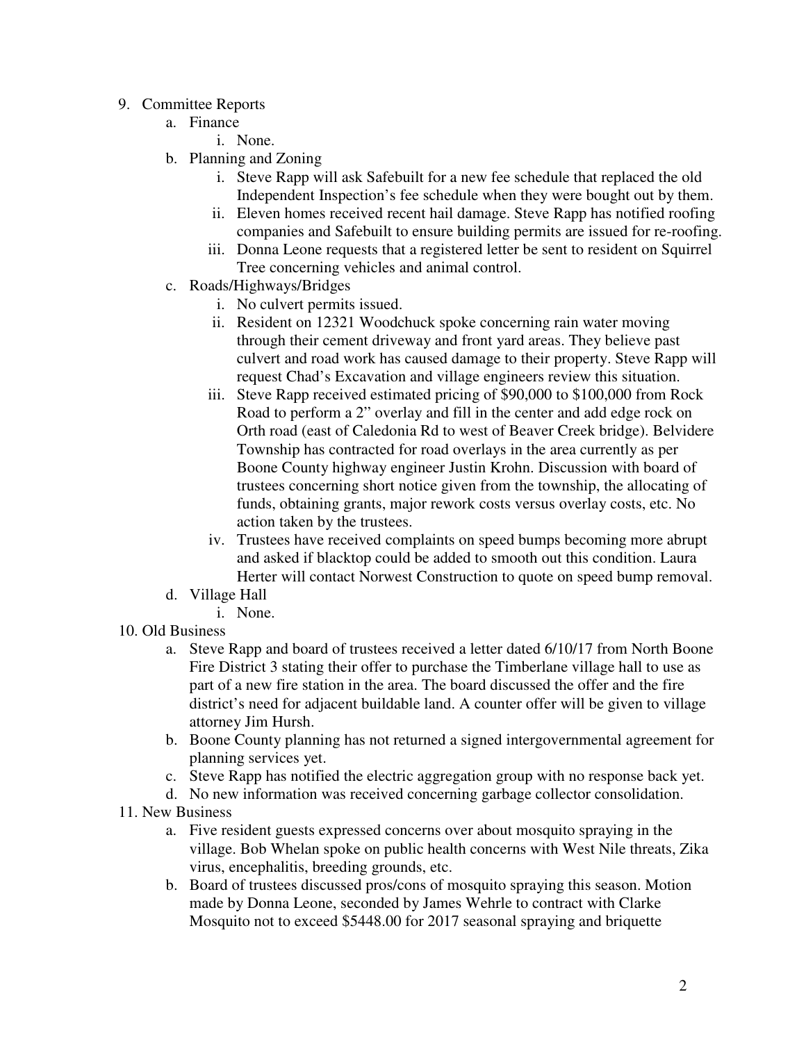- 9. Committee Reports
	- a. Finance
		- i. None.
	- b. Planning and Zoning
		- i. Steve Rapp will ask Safebuilt for a new fee schedule that replaced the old Independent Inspection's fee schedule when they were bought out by them.
		- ii. Eleven homes received recent hail damage. Steve Rapp has notified roofing companies and Safebuilt to ensure building permits are issued for re-roofing.
		- iii. Donna Leone requests that a registered letter be sent to resident on Squirrel Tree concerning vehicles and animal control.
	- c. Roads/Highways/Bridges
		- i. No culvert permits issued.
		- ii. Resident on 12321 Woodchuck spoke concerning rain water moving through their cement driveway and front yard areas. They believe past culvert and road work has caused damage to their property. Steve Rapp will request Chad's Excavation and village engineers review this situation.
		- iii. Steve Rapp received estimated pricing of \$90,000 to \$100,000 from Rock Road to perform a 2" overlay and fill in the center and add edge rock on Orth road (east of Caledonia Rd to west of Beaver Creek bridge). Belvidere Township has contracted for road overlays in the area currently as per Boone County highway engineer Justin Krohn. Discussion with board of trustees concerning short notice given from the township, the allocating of funds, obtaining grants, major rework costs versus overlay costs, etc. No action taken by the trustees.
		- iv. Trustees have received complaints on speed bumps becoming more abrupt and asked if blacktop could be added to smooth out this condition. Laura Herter will contact Norwest Construction to quote on speed bump removal.
	- d. Village Hall
		- i. None.
- 10. Old Business
	- a. Steve Rapp and board of trustees received a letter dated 6/10/17 from North Boone Fire District 3 stating their offer to purchase the Timberlane village hall to use as part of a new fire station in the area. The board discussed the offer and the fire district's need for adjacent buildable land. A counter offer will be given to village attorney Jim Hursh.
	- b. Boone County planning has not returned a signed intergovernmental agreement for planning services yet.
	- c. Steve Rapp has notified the electric aggregation group with no response back yet.
	- d. No new information was received concerning garbage collector consolidation.
- 11. New Business
	- a. Five resident guests expressed concerns over about mosquito spraying in the village. Bob Whelan spoke on public health concerns with West Nile threats, Zika virus, encephalitis, breeding grounds, etc.
	- b. Board of trustees discussed pros/cons of mosquito spraying this season. Motion made by Donna Leone, seconded by James Wehrle to contract with Clarke Mosquito not to exceed \$5448.00 for 2017 seasonal spraying and briquette